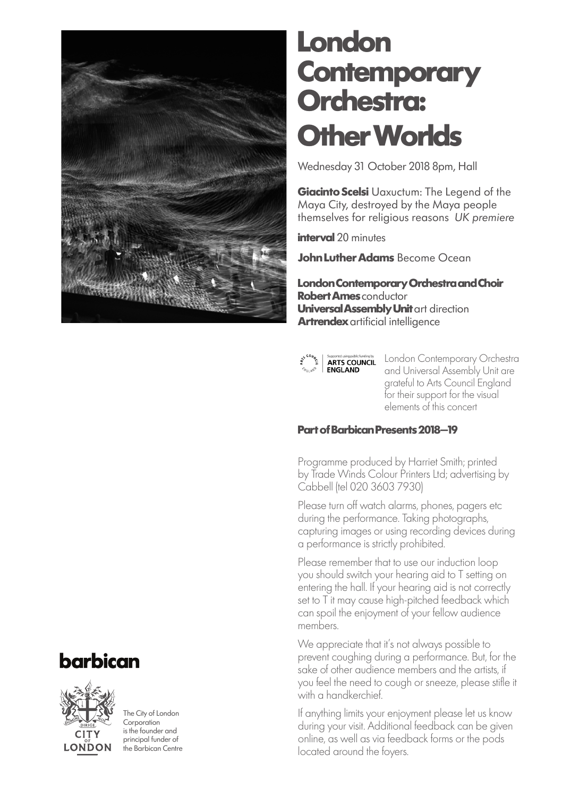

### **London Contemporary Orchestra: Other Worlds**

Wednesday 31 October 2018 8pm, Hall

**Giacinto Scelsi** Uaxuctum: The Legend of the Maya City, destroyed by the Maya people themselves for religious reasons *UK premiere*

**interval** 20 minutes

**John Luther Adams** Become Ocean

**London Contemporary Orchestra and Choir Robert Ames** conductor **Universal Assembly Unit** art direction **Artrendex** artificial intelligence



**Expansion Contemporary Orchestral ARTS COUNCIL**<br> **ENGLAND** and Universal Assembly Unit are and Universal Assembly Unit are grateful to Arts Council England for their support for the visual elements of this concert

#### **Part of Barbican Presents 2018–19**

Programme produced by Harriet Smith; printed by Trade Winds Colour Printers Ltd; advertising by Cabbell (tel 020 3603 7930)

Please turn off watch alarms, phones, pagers etc during the performance. Taking photographs, capturing images or using recording devices during a performance is strictly prohibited.

Please remember that to use our induction loop you should switch your hearing aid to T setting on entering the hall. If your hearing aid is not correctly set to T it may cause high-pitched feedback which can spoil the enjoyment of your fellow audience members.

We appreciate that it's not always possible to prevent coughing during a performance. But, for the sake of other audience members and the artists, if you feel the need to cough or sneeze, please stifle it with a handkerchief.

If anything limits your enjoyment please let us know during your visit. Additional feedback can be given online, as well as via feedback forms or the pods located around the foyers.





The City of London **Corporation** is the founder and principal funder of the Barbican Centre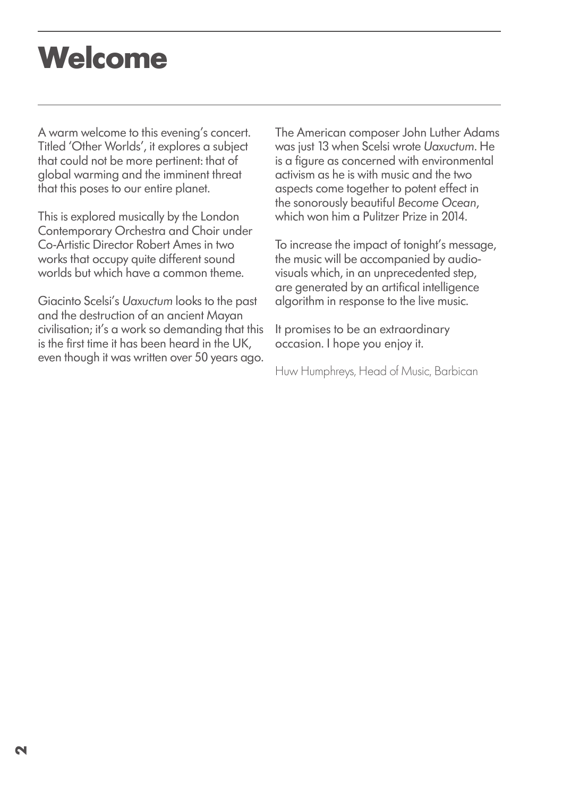## **Welcome**

A warm welcome to this evening's concert. Titled 'Other Worlds', it explores a subject that could not be more pertinent: that of global warming and the imminent threat that this poses to our entire planet.

This is explored musically by the London Contemporary Orchestra and Choir under Co-Artistic Director Robert Ames in two works that occupy quite different sound worlds but which have a common theme.

Giacinto Scelsi's *Uaxuctum* looks to the past and the destruction of an ancient Mayan civilisation; it's a work so demanding that this is the first time it has been heard in the UK, even though it was written over 50 years ago. The American composer John Luther Adams was just 13 when Scelsi wrote *Uaxuctum*. He is a figure as concerned with environmental activism as he is with music and the two aspects come together to potent effect in the sonorously beautiful *Become Ocean*, which won him a Pulitzer Prize in 2014.

To increase the impact of tonight's message, the music will be accompanied by audiovisuals which, in an unprecedented step, are generated by an artifical intelligence algorithm in response to the live music.

It promises to be an extraordinary occasion. I hope you enjoy it.

Huw Humphreys, Head of Music, Barbican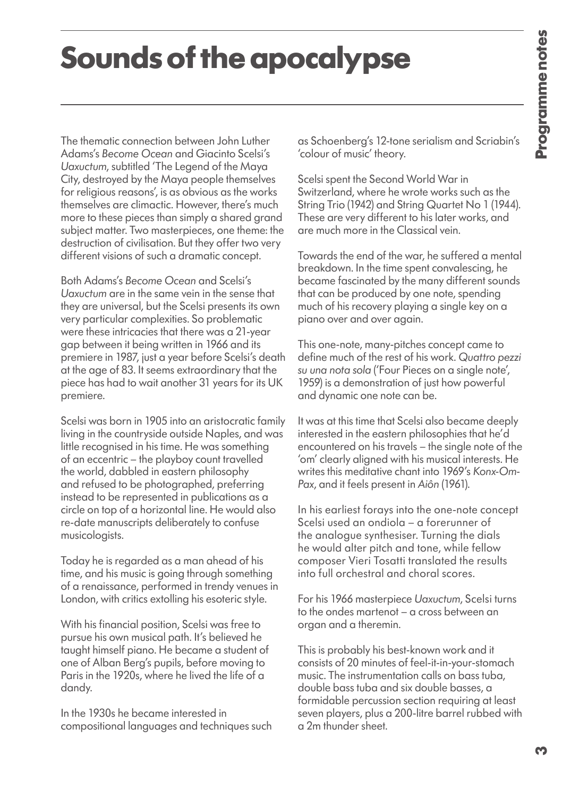# **Sounds of the apocalypse**

The thematic connection between John Luther Adams's *Become Ocean* and Giacinto Scelsi's *Uaxuctum*, subtitled 'The Legend of the Maya City, destroyed by the Maya people themselves for religious reasons', is as obvious as the works themselves are climactic. However, there's much more to these pieces than simply a shared grand subject matter. Two masterpieces, one theme: the destruction of civilisation. But they offer two very different visions of such a dramatic concept.

Both Adams's *Become Ocean* and Scelsi's *Uaxuctum* are in the same vein in the sense that they are universal, but the Scelsi presents its own very particular complexities. So problematic were these intricacies that there was a 21-year gap between it being written in 1966 and its premiere in 1987, just a year before Scelsi's death at the age of 83. It seems extraordinary that the piece has had to wait another 31 years for its UK premiere.

Scelsi was born in 1905 into an aristocratic family living in the countryside outside Naples, and was little recognised in his time. He was something of an eccentric – the playboy count travelled the world, dabbled in eastern philosophy and refused to be photographed, preferring instead to be represented in publications as a circle on top of a horizontal line. He would also re-date manuscripts deliberately to confuse musicologists.

Today he is regarded as a man ahead of his time, and his music is going through something of a renaissance, performed in trendy venues in London, with critics extolling his esoteric style.

With his financial position, Scelsi was free to pursue his own musical path. It's believed he taught himself piano. He became a student of one of Alban Berg's pupils, before moving to Paris in the 1920s, where he lived the life of a dandy.

In the 1930s he became interested in compositional languages and techniques such as Schoenberg's 12-tone serialism and Scriabin's 'colour of music' theory.

Scelsi spent the Second World War in Switzerland, where he wrote works such as the String Trio (1942) and String Quartet No 1 (1944). These are very different to his later works, and are much more in the Classical vein.

Towards the end of the war, he suffered a mental breakdown. In the time spent convalescing, he became fascinated by the many different sounds that can be produced by one note, spending much of his recovery playing a single key on a piano over and over again.

This one-note, many-pitches concept came to define much of the rest of his work. *Quattro pezzi su una nota sola* ('Four Pieces on a single note', 1959) is a demonstration of just how powerful and dynamic one note can be.

It was at this time that Scelsi also became deeply interested in the eastern philosophies that he'd encountered on his travels – the single note of the 'om' clearly aligned with his musical interests. He writes this meditative chant into 1969's *Konx-Om-Pax*, and it feels present in *Aiôn* (1961).

In his earliest forays into the one-note concept Scelsi used an ondiola – a forerunner of the analogue synthesiser. Turning the dials he would alter pitch and tone, while fellow composer Vieri Tosatti translated the results into full orchestral and choral scores.

For his 1966 masterpiece *Uaxuctum*, Scelsi turns to the ondes martenot – a cross between an organ and a theremin.

This is probably his best-known work and it consists of 20 minutes of feel-it-in-your-stomach music. The instrumentation calls on bass tuba, double bass tuba and six double basses, a formidable percussion section requiring at least seven players, plus a 200-litre barrel rubbed with a 2m thunder sheet.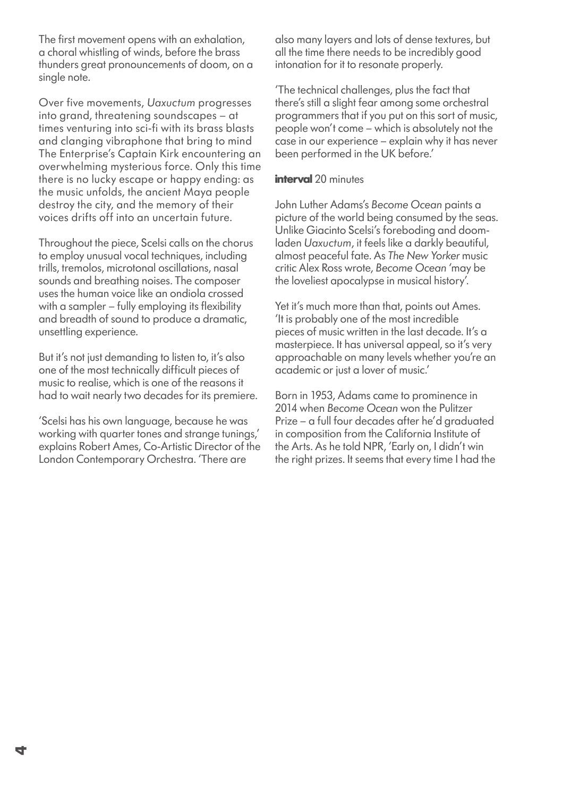The first movement opens with an exhalation, a choral whistling of winds, before the brass thunders great pronouncements of doom, on a single note.

Over five movements, *Uaxuctum* progresses into grand, threatening soundscapes – at times venturing into sci-fi with its brass blasts and clanging vibraphone that bring to mind The Enterprise's Captain Kirk encountering an overwhelming mysterious force. Only this time there is no lucky escape or happy ending: as the music unfolds, the ancient Maya people destroy the city, and the memory of their voices drifts off into an uncertain future.

Throughout the piece, Scelsi calls on the chorus to employ unusual vocal techniques, including trills, tremolos, microtonal oscillations, nasal sounds and breathing noises. The composer uses the human voice like an ondiola crossed with a sampler – fully employing its flexibility and breadth of sound to produce a dramatic, unsettling experience.

But it's not just demanding to listen to, it's also one of the most technically difficult pieces of music to realise, which is one of the reasons it had to wait nearly two decades for its premiere.

'Scelsi has his own language, because he was working with quarter tones and strange tunings,' explains Robert Ames, Co-Artistic Director of the London Contemporary Orchestra. 'There are

also many layers and lots of dense textures, but all the time there needs to be incredibly good intonation for it to resonate properly.

'The technical challenges, plus the fact that there's still a slight fear among some orchestral programmers that if you put on this sort of music, people won't come – which is absolutely not the case in our experience – explain why it has never been performed in the UK before.'

#### **interval** 20 minutes

John Luther Adams's *Become Ocean* paints a picture of the world being consumed by the seas. Unlike Giacinto Scelsi's foreboding and doomladen *Uaxuctum*, it feels like a darkly beautiful, almost peaceful fate. As *The New Yorker* music critic Alex Ross wrote, *Become Ocean* 'may be the loveliest apocalypse in musical history'.

Yet it's much more than that, points out Ames. 'It is probably one of the most incredible pieces of music written in the last decade. It's a masterpiece. It has universal appeal, so it's very approachable on many levels whether you're an academic or just a lover of music.'

Born in 1953, Adams came to prominence in 2014 when *Become Ocean* won the Pulitzer Prize – a full four decades after he'd graduated in composition from the California Institute of the Arts. As he told NPR, 'Early on, I didn't win the right prizes. It seems that every time I had the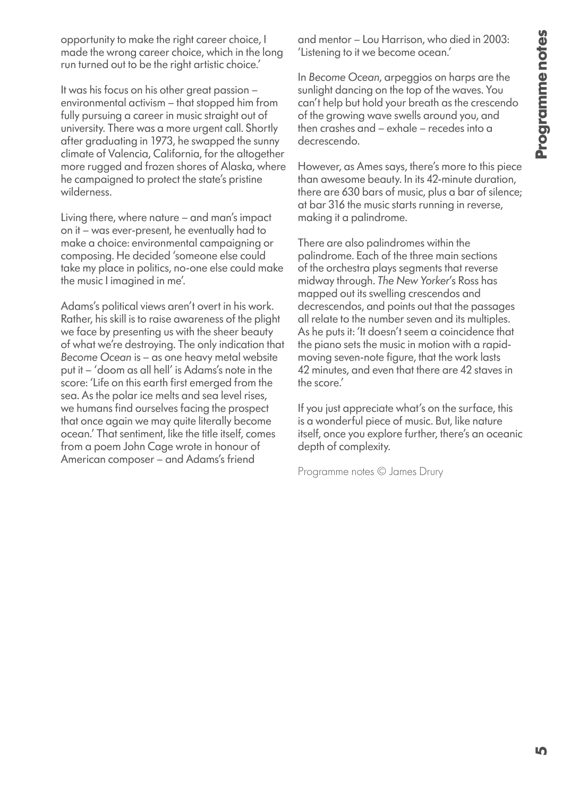opportunity to make the right career choice, I made the wrong career choice, which in the long run turned out to be the right artistic choice.'

It was his focus on his other great passion – environmental activism – that stopped him from fully pursuing a career in music straight out of university. There was a more urgent call. Shortly after graduating in 1973, he swapped the sunny climate of Valencia, California, for the altogether more rugged and frozen shores of Alaska, where he campaigned to protect the state's pristine wilderness.

Living there, where nature – and man's impact on it – was ever-present, he eventually had to make a choice: environmental campaigning or composing. He decided 'someone else could take my place in politics, no-one else could make the music I imagined in me'.

Adams's political views aren't overt in his work. Rather, his skill is to raise awareness of the plight we face by presenting us with the sheer beauty of what we're destroying. The only indication that *Become Ocean* is – as one heavy metal website put it – 'doom as all hell' is Adams's note in the score: 'Life on this earth first emerged from the sea. As the polar ice melts and sea level rises, we humans find ourselves facing the prospect that once again we may quite literally become ocean.' That sentiment, like the title itself, comes from a poem John Cage wrote in honour of American composer – and Adams's friend

and mentor – Lou Harrison, who died in 2003: 'Listening to it we become ocean.'

In *Become Ocean*, arpeggios on harps are the sunlight dancing on the top of the waves. You can't help but hold your breath as the crescendo of the growing wave swells around you, and then crashes and – exhale – recedes into a decrescendo.

However, as Ames says, there's more to this piece than awesome beauty. In its 42-minute duration, there are 630 bars of music, plus a bar of silence; at bar 316 the music starts running in reverse, making it a palindrome.

There are also palindromes within the palindrome. Each of the three main sections of the orchestra plays segments that reverse midway through. *The New Yorker*'s Ross has mapped out its swelling crescendos and decrescendos, and points out that the passages all relate to the number seven and its multiples. As he puts it: 'It doesn't seem a coincidence that the piano sets the music in motion with a rapidmoving seven-note figure, that the work lasts 42 minutes, and even that there are 42 staves in the score.'

If you just appreciate what's on the surface, this is a wonderful piece of music. But, like nature itself, once you explore further, there's an oceanic depth of complexity.

Programme notes © James Drury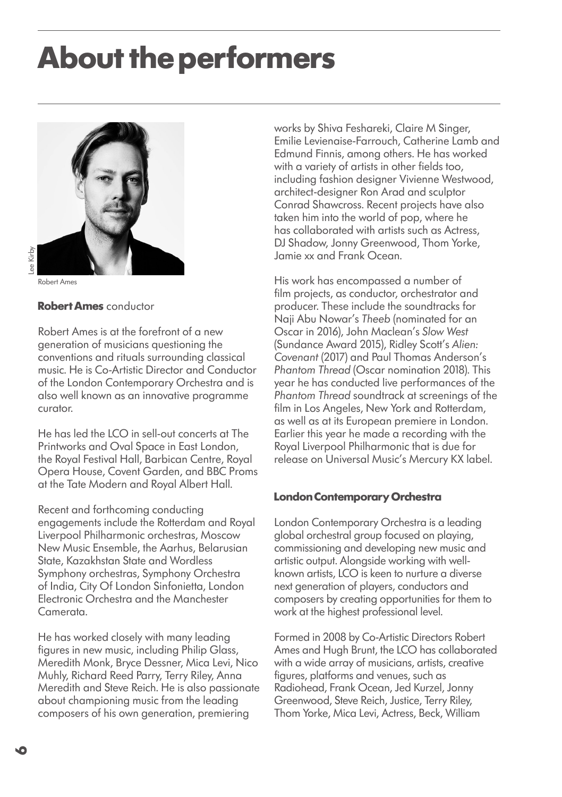### **About the performers**





Robert Ames

### **Robert Ames** conductor

Robert Ames is at the forefront of a new generation of musicians questioning the conventions and rituals surrounding classical music. He is Co-Artistic Director and Conductor of the London Contemporary Orchestra and is also well known as an innovative programme curator.

He has led the LCO in sell-out concerts at The Printworks and Oval Space in East London, the Royal Festival Hall, Barbican Centre, Royal Opera House, Covent Garden, and BBC Proms at the Tate Modern and Royal Albert Hall.

Recent and forthcoming conducting engagements include the Rotterdam and Royal Liverpool Philharmonic orchestras, Moscow New Music Ensemble, the Aarhus, Belarusian State, Kazakhstan State and Wordless Symphony orchestras, Symphony Orchestra of India, City Of London Sinfonietta, London Electronic Orchestra and the Manchester Camerata.

He has worked closely with many leading figures in new music, including Philip Glass, Meredith Monk, Bryce Dessner, Mica Levi, Nico Muhly, Richard Reed Parry, Terry Riley, Anna Meredith and Steve Reich. He is also passionate about championing music from the leading composers of his own generation, premiering

works by Shiva Feshareki, Claire M Singer, Emilie Levienaise-Farrouch, Catherine Lamb and Edmund Finnis, among others. He has worked with a variety of artists in other fields too, including fashion designer Vivienne Westwood, architect-designer Ron Arad and sculptor Conrad Shawcross. Recent projects have also taken him into the world of pop, where he has collaborated with artists such as Actress, DJ Shadow, Jonny Greenwood, Thom Yorke, Jamie xx and Frank Ocean.

His work has encompassed a number of film projects, as conductor, orchestrator and producer. These include the soundtracks for Naji Abu Nowar's *Theeb* (nominated for an Oscar in 2016), John Maclean's *Slow West* (Sundance Award 2015), Ridley Scott's *Alien: Covenant* (2017) and Paul Thomas Anderson's *Phantom Thread* (Oscar nomination 2018). This year he has conducted live performances of the *Phantom Thread* soundtrack at screenings of the film in Los Angeles, New York and Rotterdam, as well as at its European premiere in London. Earlier this year he made a recording with the Royal Liverpool Philharmonic that is due for release on Universal Music's Mercury KX label.

#### **London Contemporary Orchestra**

London Contemporary Orchestra is a leading global orchestral group focused on playing, commissioning and developing new music and artistic output. Alongside working with wellknown artists, LCO is keen to nurture a diverse next generation of players, conductors and composers by creating opportunities for them to work at the highest professional level.

Formed in 2008 by Co-Artistic Directors Robert Ames and Hugh Brunt, the LCO has collaborated with a wide array of musicians, artists, creative figures, platforms and venues, such as Radiohead, Frank Ocean, Jed Kurzel, Jonny Greenwood, Steve Reich, Justice, Terry Riley, Thom Yorke, Mica Levi, Actress, Beck, William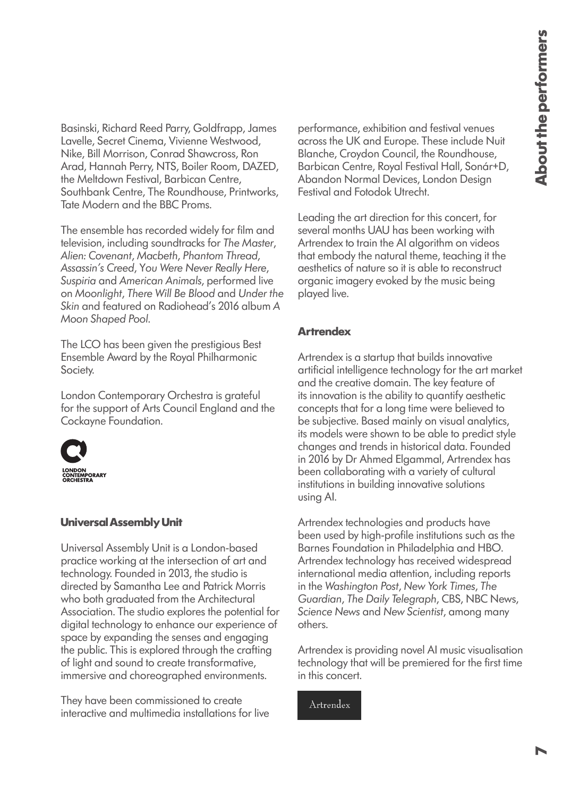Basinski, Richard Reed Parry, Goldfrapp, James Lavelle, Secret Cinema, Vivienne Westwood, Nike, Bill Morrison, Conrad Shawcross, Ron Arad, Hannah Perry, NTS, Boiler Room, DAZED, the Meltdown Festival, Barbican Centre, Southbank Centre, The Roundhouse, Printworks, Tate Modern and the BBC Proms.

The ensemble has recorded widely for film and television, including soundtracks for *The Master*, *Alien: Covenant*, *Macbeth*, *Phantom Thread*, *Assassin's Creed*, Y*ou Were Never Really Here*, *Suspiria* and *American Animals*, performed live on *Moonlight*, *There Will Be Blood* and *Under the Skin* and featured on Radiohead's 2016 album *A Moon Shaped Pool*.

The LCO has been given the prestigious Best Ensemble Award by the Royal Philharmonic Society.

London Contemporary Orchestra is grateful for the support of Arts Council England and the Cockayne Foundation.



#### **Universal Assembly Unit**

Universal Assembly Unit is a London-based practice working at the intersection of art and technology. Founded in 2013, the studio is directed by Samantha Lee and Patrick Morris who both graduated from the Architectural Association. The studio explores the potential for digital technology to enhance our experience of space by expanding the senses and engaging the public. This is explored through the crafting of light and sound to create transformative, immersive and choreographed environments.

They have been commissioned to create interactive and multimedia installations for live performance, exhibition and festival venues across the UK and Europe. These include Nuit Blanche, Croydon Council, the Roundhouse, Barbican Centre, Royal Festival Hall, Sonár+D, Abandon Normal Devices, London Design Festival and Fotodok Utrecht.

Leading the art direction for this concert, for several months UAU has been working with Artrendex to train the AI algorithm on videos that embody the natural theme, teaching it the aesthetics of nature so it is able to reconstruct organic imagery evoked by the music being played live.

#### **Artrendex**

Artrendex is a startup that builds innovative artificial intelligence technology for the art market and the creative domain. The key feature of its innovation is the ability to quantify aesthetic concepts that for a long time were believed to be subjective. Based mainly on visual analytics, its models were shown to be able to predict style changes and trends in historical data. Founded in 2016 by Dr Ahmed Elgammal, Artrendex has been collaborating with a variety of cultural institutions in building innovative solutions using AI.

Artrendex technologies and products have been used by high-profile institutions such as the Barnes Foundation in Philadelphia and HBO. Artrendex technology has received widespread international media attention, including reports in the *Washington Post*, *New York Times*, *The Guardian*, *The Daily Telegraph*, CBS, NBC News, *Science News* and *New Scientist*, among many others.

Artrendex is providing novel AI music visualisation technology that will be premiered for the first time in this concert.

Artrendex